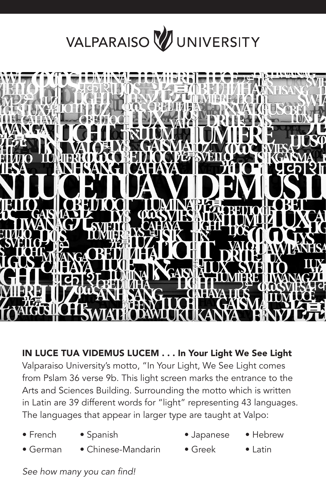## VALPARAISO VUNIVERSITY



IN LUCE TUA VIDEMUS LUCEM . . . In Your Light We See Light Valparaiso University's motto, "In Your Light, We See Light comes from Pslam 36 verse 9b. This light screen marks the entrance to the Arts and Sciences Building. Surrounding the motto which is written in Latin are 39 different words for "light" representing 43 languages. The languages that appear in larger type are taught at Valpo:

- 
- 
- French Spanish Japanese Hebrew
- 
- 
- German Chinese-Mandarin Greek Latin
	-

See how many you can find!